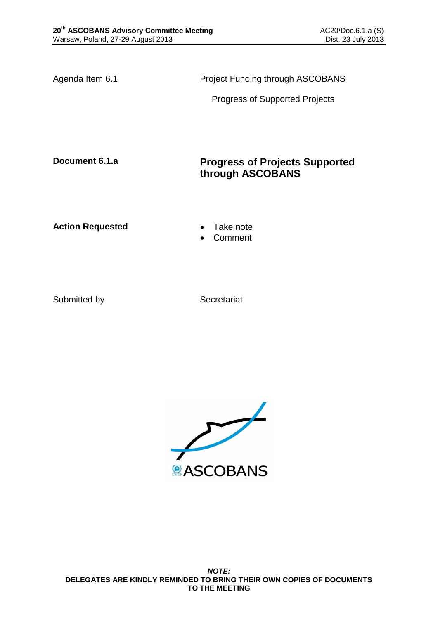Agenda Item 6.1 **Project Funding through ASCOBANS** 

Progress of Supported Projects

# **Document 6.1.a Progress of Projects Supported through ASCOBANS**

Action Requested **Canadian Exercise Action Requested Canadian Exercise** 

Comment

Submitted by Secretariat

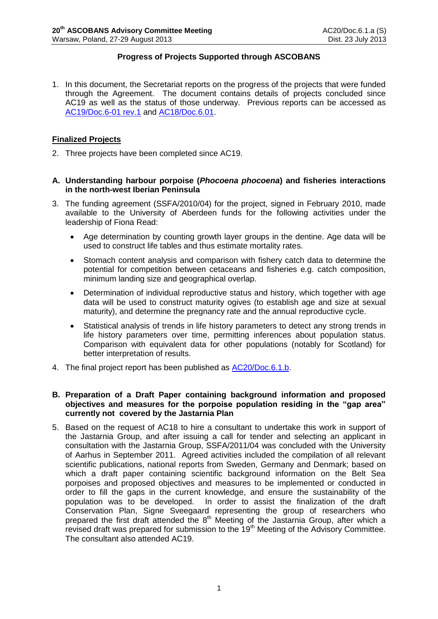# **Progress of Projects Supported through ASCOBANS**

1. In this document, the Secretariat reports on the progress of the projects that were funded through the Agreement. The document contains details of projects concluded since AC19 as well as the status of those underway. Previous reports can be accessed as [AC19/Doc.6-01](http://www.ascobans.org/pdf/ac19/AC19_6-01_rev1_ProgressProjects.pdf) rev.1 and [AC18/Doc.6.01.](http://www.ascobans.org/pdf/ac18/AC18_6-01_ProgressProjects.pdf)

# **Finalized Projects**

- 2. Three projects have been completed since AC19.
- **A. Understanding harbour porpoise (***Phocoena phocoena***) and fisheries interactions in the north-west Iberian Peninsula**
- 3. The funding agreement (SSFA/2010/04) for the project, signed in February 2010, made available to the University of Aberdeen funds for the following activities under the leadership of Fiona Read:
	- Age determination by counting growth layer groups in the dentine. Age data will be used to construct life tables and thus estimate mortality rates.
	- Stomach content analysis and comparison with fishery catch data to determine the potential for competition between cetaceans and fisheries e.g. catch composition, minimum landing size and geographical overlap.
	- Determination of individual reproductive status and history, which together with age data will be used to construct maturity ogives (to establish age and size at sexual maturity), and determine the pregnancy rate and the annual reproductive cycle.
	- Statistical analysis of trends in life history parameters to detect any strong trends in life history parameters over time, permitting inferences about population status. Comparison with equivalent data for other populations (notably for Scotland) for better interpretation of results.
- 4. The final project report has been published as [AC20/Doc.6.1.b.](http://www.ascobans.org/pdf/ac20/AC20_6.1.b_ProjectReport_PorpoiseFisheryInteractionsIberia.pdf)

#### **B. Preparation of a Draft Paper containing background information and proposed objectives and measures for the porpoise population residing in the "gap area" currently not covered by the Jastarnia Plan**

5. Based on the request of AC18 to hire a consultant to undertake this work in support of the Jastarnia Group, and after issuing a call for tender and selecting an applicant in consultation with the Jastarnia Group, SSFA/2011/04 was concluded with the University of Aarhus in September 2011. Agreed activities included the compilation of all relevant scientific publications, national reports from Sweden, Germany and Denmark; based on which a draft paper containing scientific background information on the Belt Sea porpoises and proposed objectives and measures to be implemented or conducted in order to fill the gaps in the current knowledge, and ensure the sustainability of the population was to be developed. In order to assist the finalization of the draft Conservation Plan, Signe Sveegaard representing the group of researchers who prepared the first draft attended the  $8<sup>th</sup>$  Meeting of the Jastarnia Group, after which a revised draft was prepared for submission to the 19<sup>th</sup> Meeting of the Advisory Committee. The consultant also attended AC19.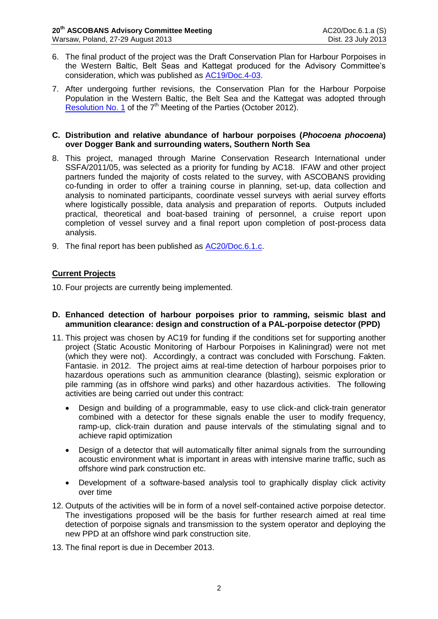- 6. The final product of the project was the Draft Conservation Plan for Harbour Porpoises in the Western Baltic, Belt Seas and Kattegat produced for the Advisory Committee's consideration, which was published as [AC19/Doc.4-03.](http://www.ascobans.org/pdf/ac19/AC19_4-03_DraftConservationPlan_GapArea.pdf)
- 7. After undergoing further revisions, the Conservation Plan for the Harbour Porpoise Population in the Western Baltic, the Belt Sea and the Kattegat was adopted through [Resolution No. 1](http://www.ascobans.org/pdf/mops/MOP7_2012-1_HarbourPorpoiseConservation.pdf) of the 7<sup>th</sup> Meeting of the Parties (October 2012).

#### **C. Distribution and relative abundance of harbour porpoises (***Phocoena phocoena***) over Dogger Bank and surrounding waters, Southern North Sea**

- 8. This project, managed through Marine Conservation Research International under SSFA/2011/05, was selected as a priority for funding by AC18. IFAW and other project partners funded the majority of costs related to the survey, with ASCOBANS providing co-funding in order to offer a training course in planning, set-up, data collection and analysis to nominated participants, coordinate vessel surveys with aerial survey efforts where logistically possible, data analysis and preparation of reports. Outputs included practical, theoretical and boat-based training of personnel, a cruise report upon completion of vessel survey and a final report upon completion of post-process data analysis.
- 9. The final report has been published as [AC20/Doc.6.1.c.](http://www.ascobans.org/pdf/ac20/AC20_6.1.c_ProjectReport_PorpoiseDoggerbank-SNS-Survey.pdf)

# **Current Projects**

10. Four projects are currently being implemented.

- **D. Enhanced detection of harbour porpoises prior to ramming, seismic blast and ammunition clearance: design and construction of a PAL-porpoise detector (PPD)**
- 11. This project was chosen by AC19 for funding if the conditions set for supporting another project (Static Acoustic Monitoring of Harbour Porpoises in Kaliningrad) were not met (which they were not). Accordingly, a contract was concluded with Forschung. Fakten. Fantasie. in 2012. The project aims at real-time detection of harbour porpoises prior to hazardous operations such as ammunition clearance (blasting), seismic exploration or pile ramming (as in offshore wind parks) and other hazardous activities. The following activities are being carried out under this contract:
	- Design and building of a programmable, easy to use click-and click-train generator combined with a detector for these signals enable the user to modify frequency, ramp-up, click-train duration and pause intervals of the stimulating signal and to achieve rapid optimization
	- Design of a detector that will automatically filter animal signals from the surrounding acoustic environment what is important in areas with intensive marine traffic, such as offshore wind park construction etc.
	- Development of a software-based analysis tool to graphically display click activity over time
- 12. Outputs of the activities will be in form of a novel self-contained active porpoise detector. The investigations proposed will be the basis for further research aimed at real time detection of porpoise signals and transmission to the system operator and deploying the new PPD at an offshore wind park construction site.
- 13. The final report is due in December 2013.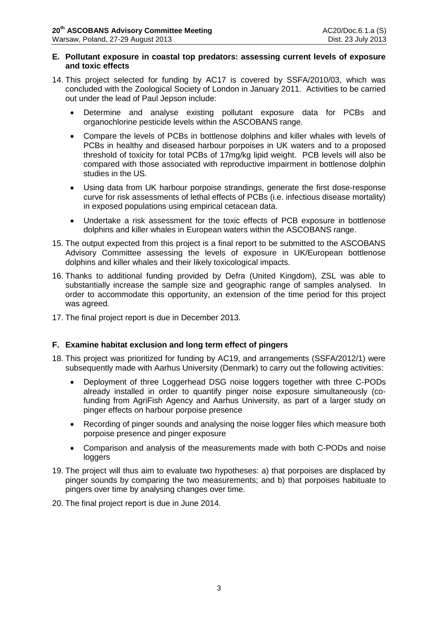#### **E. Pollutant exposure in coastal top predators: assessing current levels of exposure and toxic effects**

- 14. This project selected for funding by AC17 is covered by SSFA/2010/03, which was concluded with the Zoological Society of London in January 2011. Activities to be carried out under the lead of Paul Jepson include:
	- Determine and analyse existing pollutant exposure data for PCBs and organochlorine pesticide levels within the ASCOBANS range.
	- Compare the levels of PCBs in bottlenose dolphins and killer whales with levels of PCBs in healthy and diseased harbour porpoises in UK waters and to a proposed threshold of toxicity for total PCBs of 17mg/kg lipid weight. PCB levels will also be compared with those associated with reproductive impairment in bottlenose dolphin studies in the US.
	- Using data from UK harbour porpoise strandings, generate the first dose-response curve for risk assessments of lethal effects of PCBs (i.e. infectious disease mortality) in exposed populations using empirical cetacean data.
	- Undertake a risk assessment for the toxic effects of PCB exposure in bottlenose dolphins and killer whales in European waters within the ASCOBANS range.
- 15. The output expected from this project is a final report to be submitted to the ASCOBANS Advisory Committee assessing the levels of exposure in UK/European bottlenose dolphins and killer whales and their likely toxicological impacts.
- 16. Thanks to additional funding provided by Defra (United Kingdom), ZSL was able to substantially increase the sample size and geographic range of samples analysed. In order to accommodate this opportunity, an extension of the time period for this project was agreed.
- 17. The final project report is due in December 2013.

## **F. Examine habitat exclusion and long term effect of pingers**

- 18. This project was prioritized for funding by AC19, and arrangements (SSFA/2012/1) were subsequently made with Aarhus University (Denmark) to carry out the following activities:
	- Deployment of three Loggerhead DSG noise loggers together with three C-PODs already installed in order to quantify pinger noise exposure simultaneously (cofunding from AgriFish Agency and Aarhus University, as part of a larger study on pinger effects on harbour porpoise presence
	- Recording of pinger sounds and analysing the noise logger files which measure both porpoise presence and pinger exposure
	- Comparison and analysis of the measurements made with both C-PODs and noise loggers
- 19. The project will thus aim to evaluate two hypotheses: a) that porpoises are displaced by pinger sounds by comparing the two measurements; and b) that porpoises habituate to pingers over time by analysing changes over time.
- 20. The final project report is due in June 2014.